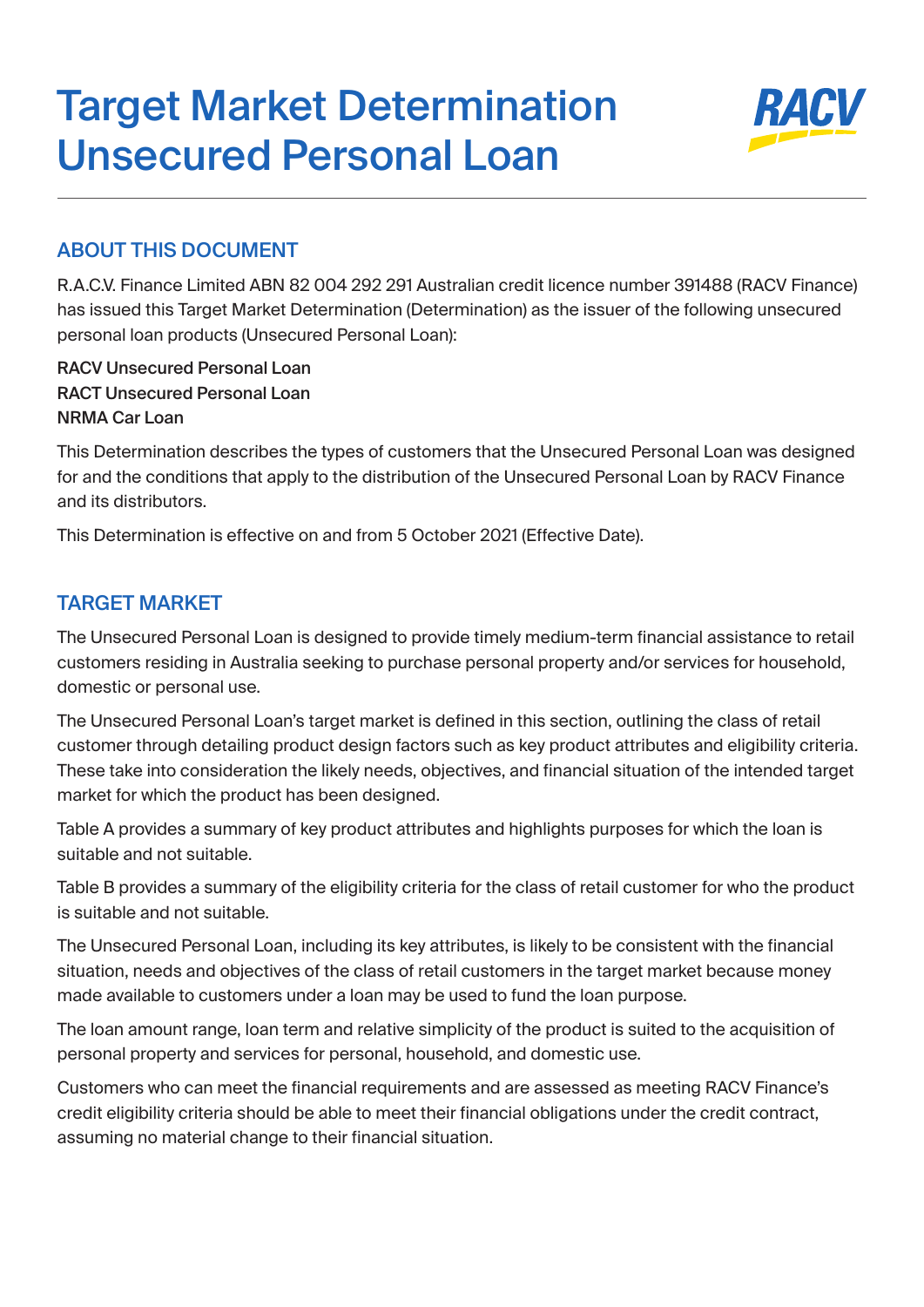# Target Market Determination Unsecured Personal Loan



## ABOUT THIS DOCUMENT

R.A.C.V. Finance Limited ABN 82 004 292 291 Australian credit licence number 391488 (RACV Finance) has issued this Target Market Determination (Determination) as the issuer of the following unsecured personal loan products (Unsecured Personal Loan):

RACV Unsecured Personal Loan RACT Unsecured Personal Loan NRMA Car Loan

This Determination describes the types of customers that the Unsecured Personal Loan was designed for and the conditions that apply to the distribution of the Unsecured Personal Loan by RACV Finance and its distributors.

This Determination is effective on and from 5 October 2021 (Effective Date).

## TARGET MARKET

The Unsecured Personal Loan is designed to provide timely medium-term financial assistance to retail customers residing in Australia seeking to purchase personal property and/or services for household, domestic or personal use.

The Unsecured Personal Loan's target market is defined in this section, outlining the class of retail customer through detailing product design factors such as key product attributes and eligibility criteria. These take into consideration the likely needs, objectives, and financial situation of the intended target market for which the product has been designed.

Table A provides a summary of key product attributes and highlights purposes for which the loan is suitable and not suitable.

Table B provides a summary of the eligibility criteria for the class of retail customer for who the product is suitable and not suitable.

The Unsecured Personal Loan, including its key attributes, is likely to be consistent with the financial situation, needs and objectives of the class of retail customers in the target market because money made available to customers under a loan may be used to fund the loan purpose.

The loan amount range, loan term and relative simplicity of the product is suited to the acquisition of personal property and services for personal, household, and domestic use.

Customers who can meet the financial requirements and are assessed as meeting RACV Finance's credit eligibility criteria should be able to meet their financial obligations under the credit contract, assuming no material change to their financial situation.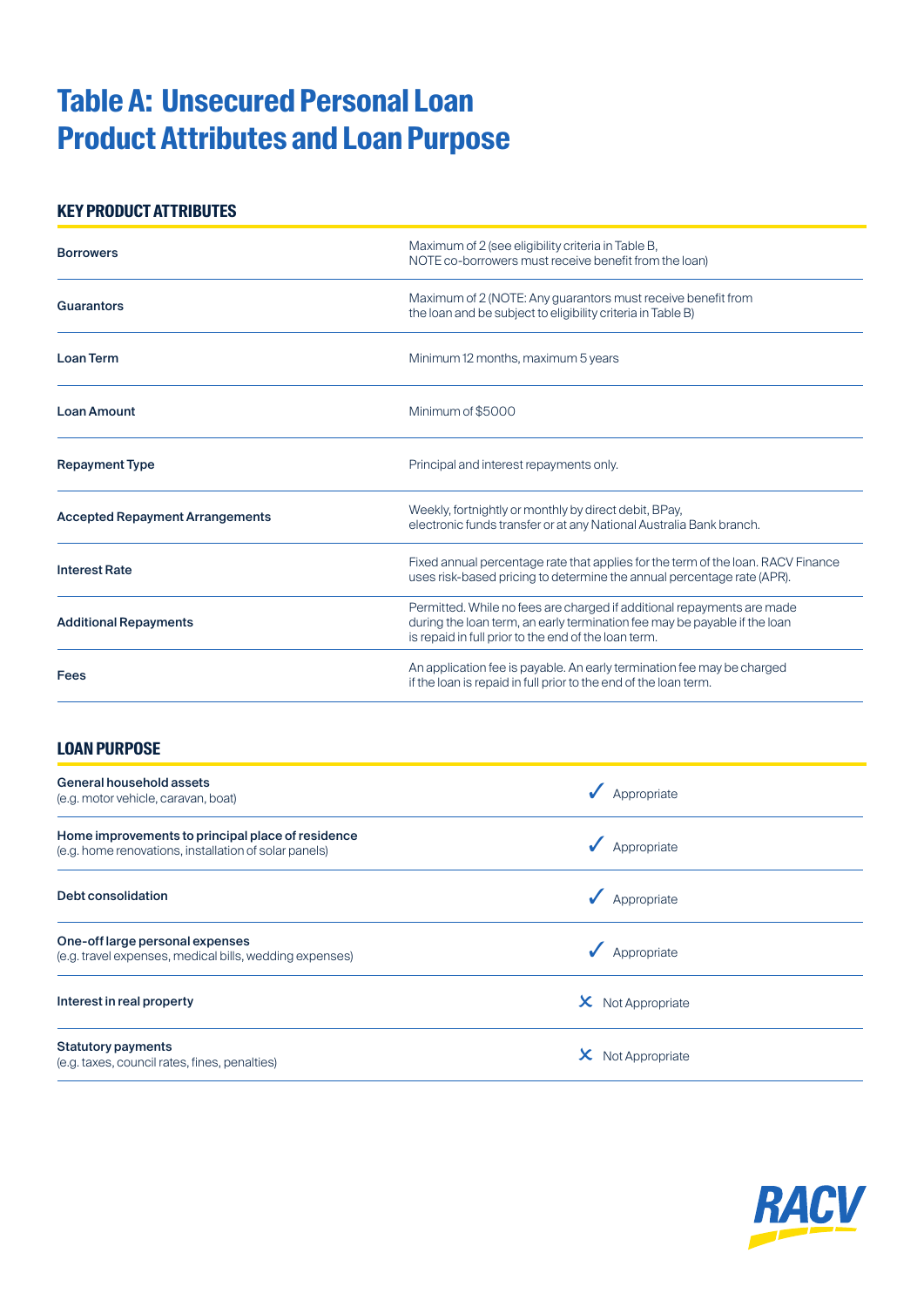## **Table A: Unsecured Personal Loan Product Attributes and Loan Purpose**

### **KEY PRODUCT ATTRIBUTES**

| <b>Borrowers</b>                       | Maximum of 2 (see eligibility criteria in Table B,<br>NOTE co-borrowers must receive benefit from the loan)                                                                                                 |  |  |
|----------------------------------------|-------------------------------------------------------------------------------------------------------------------------------------------------------------------------------------------------------------|--|--|
| Guarantors                             | Maximum of 2 (NOTE: Any guarantors must receive benefit from<br>the loan and be subject to eligibility criteria in Table B)                                                                                 |  |  |
| <b>Loan Term</b>                       | Minimum 12 months, maximum 5 years                                                                                                                                                                          |  |  |
| <b>Loan Amount</b>                     | Minimum of \$5000                                                                                                                                                                                           |  |  |
| <b>Repayment Type</b>                  | Principal and interest repayments only.                                                                                                                                                                     |  |  |
| <b>Accepted Repayment Arrangements</b> | Weekly, fortnightly or monthly by direct debit, BPay,<br>electronic funds transfer or at any National Australia Bank branch.                                                                                |  |  |
| <b>Interest Rate</b>                   | Fixed annual percentage rate that applies for the term of the loan. RACV Finance<br>uses risk-based pricing to determine the annual percentage rate (APR).                                                  |  |  |
| <b>Additional Repayments</b>           | Permitted. While no fees are charged if additional repayments are made<br>during the loan term, an early termination fee may be payable if the loan<br>is repaid in full prior to the end of the loan term. |  |  |
| Fees                                   | An application fee is payable. An early termination fee may be charged<br>if the loan is repaid in full prior to the end of the loan term.                                                                  |  |  |

#### **LOAN PURPOSE**

| <b>General household assets</b><br>(e.g. motor vehicle, caravan, boat)                                     | Appropriate     |
|------------------------------------------------------------------------------------------------------------|-----------------|
| Home improvements to principal place of residence<br>(e.g. home renovations, installation of solar panels) | Appropriate     |
| Debt consolidation                                                                                         | Appropriate     |
| One-off large personal expenses<br>(e.g. travel expenses, medical bills, wedding expenses)                 | Appropriate     |
| Interest in real property                                                                                  | Not Appropriate |
| <b>Statutory payments</b><br>(e.g. taxes, council rates, fines, penalties)                                 | Not Appropriate |

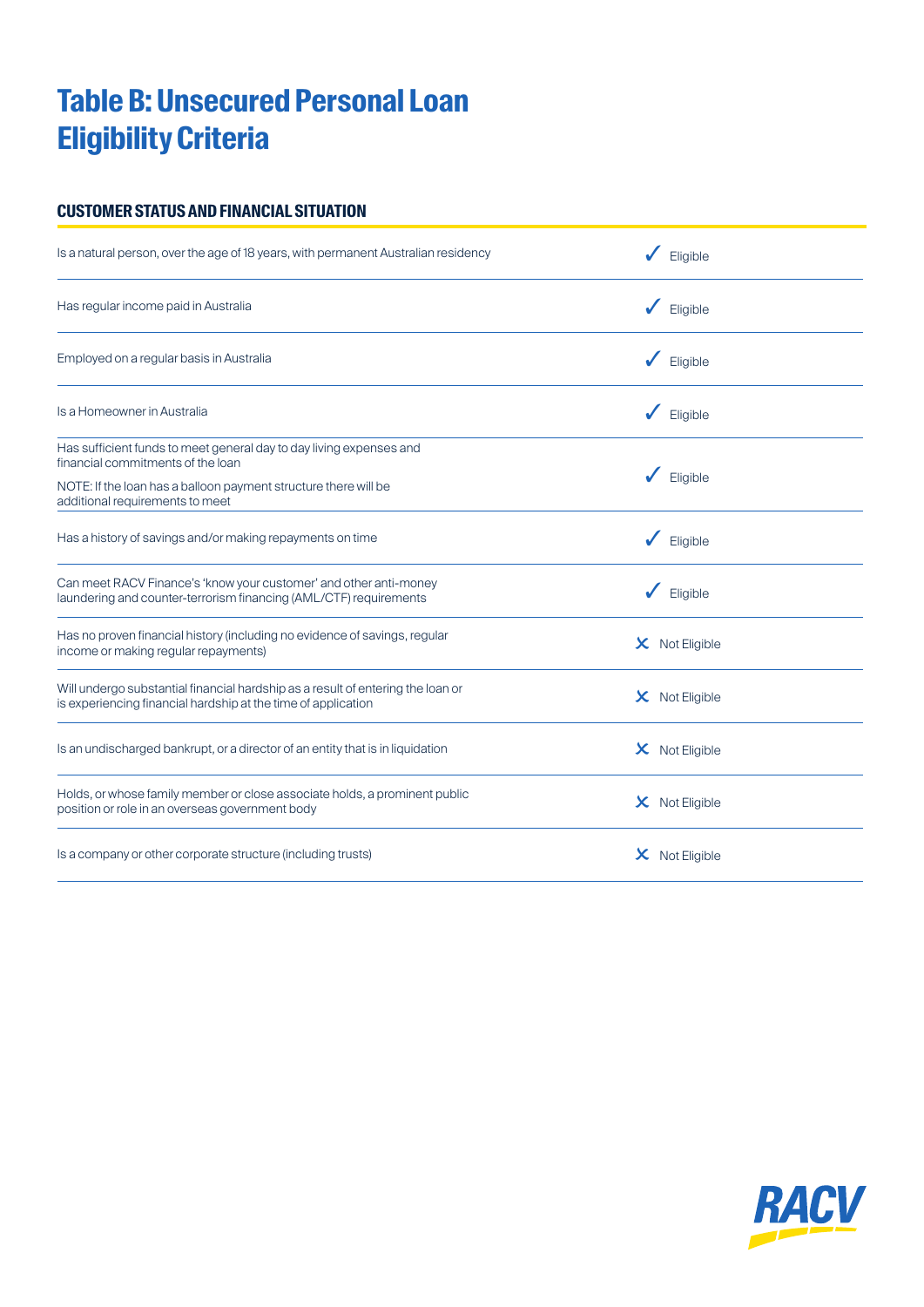## **Table B: Unsecured Personal Loan Eligibility Criteria**

#### **CUSTOMER STATUS AND FINANCIAL SITUATION**

| Is a natural person, over the age of 18 years, with permanent Australian residency                                                               | Eligible              |
|--------------------------------------------------------------------------------------------------------------------------------------------------|-----------------------|
| Has regular income paid in Australia                                                                                                             | Eligible              |
| Employed on a regular basis in Australia                                                                                                         | Eligible              |
| Is a Homeowner in Australia                                                                                                                      | Eligible              |
| Has sufficient funds to meet general day to day living expenses and<br>financial commitments of the loan                                         |                       |
| NOTE: If the loan has a balloon payment structure there will be<br>additional requirements to meet                                               | Eligible              |
| Has a history of savings and/or making repayments on time                                                                                        | Eligible              |
| Can meet RACV Finance's 'know your customer' and other anti-money<br>laundering and counter-terrorism financing (AML/CTF) requirements           | Eligible              |
| Has no proven financial history (including no evidence of savings, regular<br>income or making regular repayments)                               | $\times$ Not Eligible |
| Will undergo substantial financial hardship as a result of entering the loan or<br>is experiencing financial hardship at the time of application | $\times$ Not Eligible |
| Is an undischarged bankrupt, or a director of an entity that is in liquidation                                                                   | $\times$ Not Eligible |
| Holds, or whose family member or close associate holds, a prominent public<br>position or role in an overseas government body                    | $\times$ Not Eligible |
| Is a company or other corporate structure (including trusts)                                                                                     | $\times$ Not Eligible |

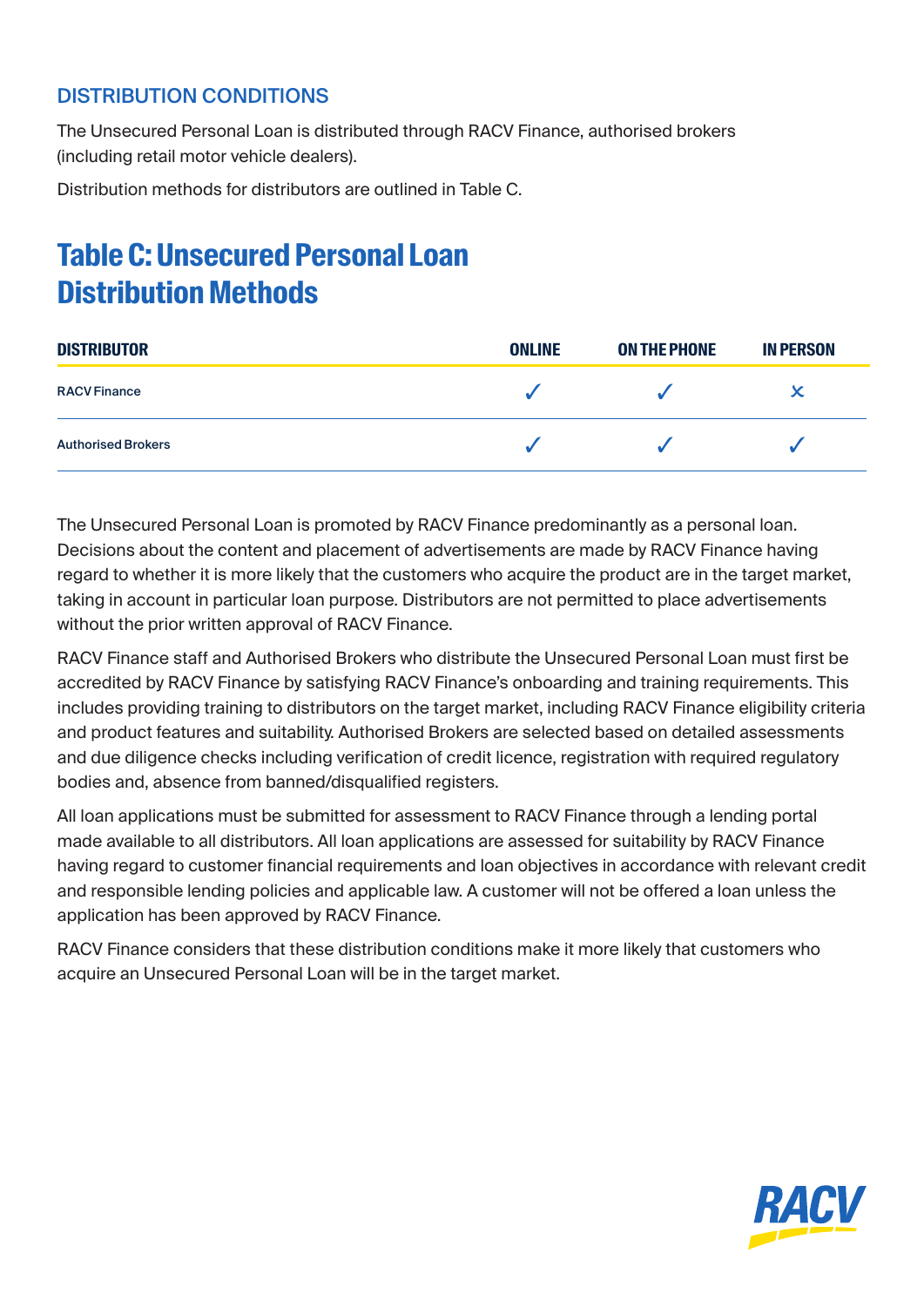## DISTRIBUTION CONDITIONS

The Unsecured Personal Loan is distributed through RACV Finance, authorised brokers (including retail motor vehicle dealers).

Distribution methods for distributors are outlined in Table C.

## **Table C: Unsecured Personal Loan Distribution Methods**

| <b>DISTRIBUTOR</b>        | <b>ONLINE</b> | <b>ON THE PHONE</b> | <b>IN PERSON</b> |  |
|---------------------------|---------------|---------------------|------------------|--|
| <b>RACV Finance</b>       |               |                     | x                |  |
| <b>Authorised Brokers</b> |               |                     |                  |  |

The Unsecured Personal Loan is promoted by RACV Finance predominantly as a personal loan. Decisions about the content and placement of advertisements are made by RACV Finance having regard to whether it is more likely that the customers who acquire the product are in the target market, taking in account in particular loan purpose. Distributors are not permitted to place advertisements without the prior written approval of RACV Finance.

RACV Finance staff and Authorised Brokers who distribute the Unsecured Personal Loan must first be accredited by RACV Finance by satisfying RACV Finance's onboarding and training requirements. This includes providing training to distributors on the target market, including RACV Finance eligibility criteria and product features and suitability. Authorised Brokers are selected based on detailed assessments and due diligence checks including verification of credit licence, registration with required regulatory bodies and, absence from banned/disqualified registers.

All loan applications must be submitted for assessment to RACV Finance through a lending portal made available to all distributors. All loan applications are assessed for suitability by RACV Finance having regard to customer financial requirements and loan objectives in accordance with relevant credit and responsible lending policies and applicable law. A customer will not be offered a loan unless the application has been approved by RACV Finance.

RACV Finance considers that these distribution conditions make it more likely that customers who acquire an Unsecured Personal Loan will be in the target market.